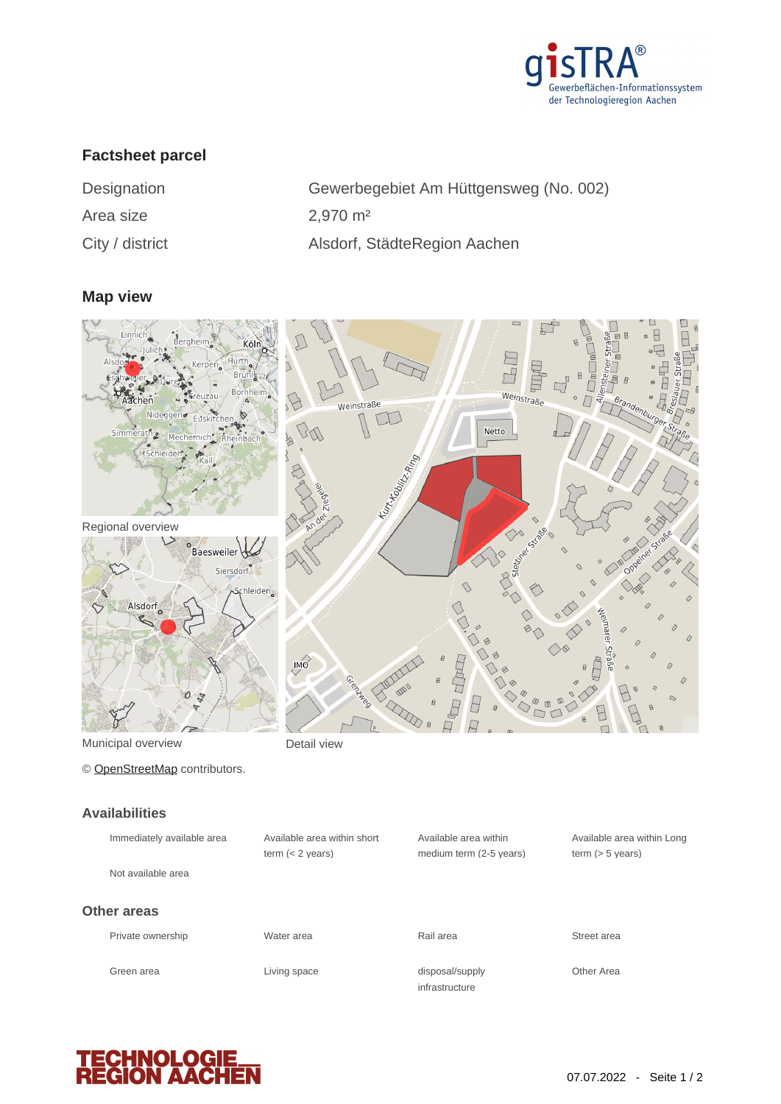

# **Factsheet parcel**

Area size 2,970 m<sup>2</sup>

Designation Gewerbegebiet Am Hüttgensweg (No. 002) City / district Alsdorf, StädteRegion Aachen

## **Map view**



Municipal overview **Detail view** 

© [OpenStreetMap](http://www.openstreetmap.org/copyright) contributors.

#### **Availabilities**

| Immediately available area<br>Not available area | Available area within short<br>term $(< 2$ years) | Available area within<br>medium term (2-5 years) | Available a<br>term $(> 5 v)$ |
|--------------------------------------------------|---------------------------------------------------|--------------------------------------------------|-------------------------------|
| Other areas<br>Private ownership                 | Water area                                        | Rail area                                        | Street area                   |
| Green area                                       | Living space                                      | disposal/supply<br>infrastructure                | Other Area                    |



Available area within Long

term (> 5 years)